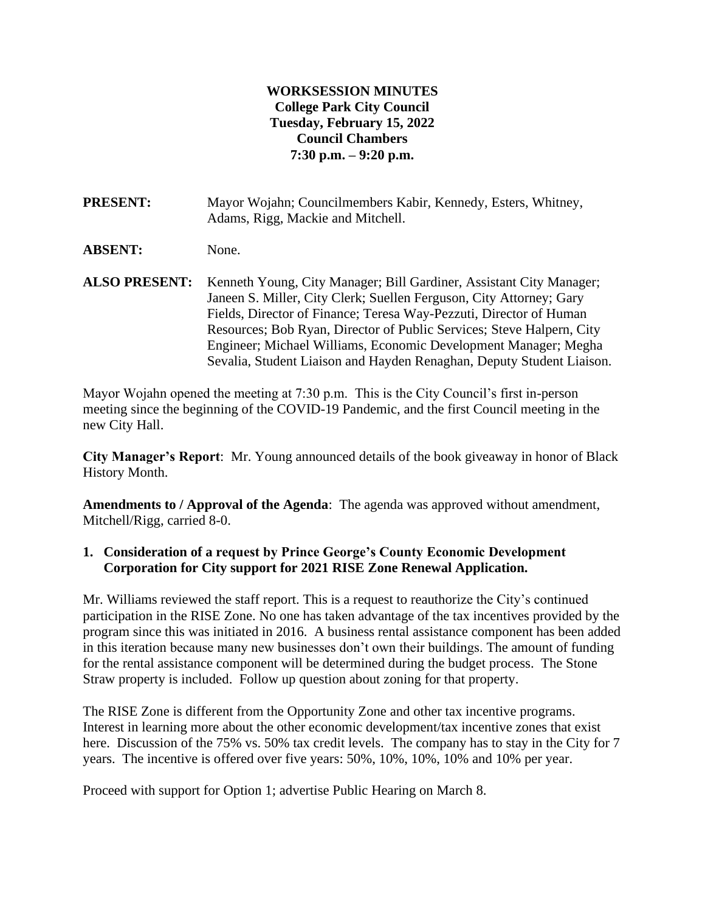### **WORKSESSION MINUTES College Park City Council Tuesday, February 15, 2022 Council Chambers 7:30 p.m. – 9:20 p.m.**

**PRESENT:** Mayor Wojahn; Councilmembers Kabir, Kennedy, Esters, Whitney, Adams, Rigg, Mackie and Mitchell.

**ABSENT:** None.

**ALSO PRESENT:** Kenneth Young, City Manager; Bill Gardiner, Assistant City Manager; Janeen S. Miller, City Clerk; Suellen Ferguson, City Attorney; Gary Fields, Director of Finance; Teresa Way-Pezzuti, Director of Human Resources; Bob Ryan, Director of Public Services; Steve Halpern, City Engineer; Michael Williams, Economic Development Manager; Megha Sevalia, Student Liaison and Hayden Renaghan, Deputy Student Liaison.

Mayor Wojahn opened the meeting at 7:30 p.m. This is the City Council's first in-person meeting since the beginning of the COVID-19 Pandemic, and the first Council meeting in the new City Hall.

**City Manager's Report**: Mr. Young announced details of the book giveaway in honor of Black History Month.

**Amendments to / Approval of the Agenda**: The agenda was approved without amendment, Mitchell/Rigg, carried 8-0.

### **1. Consideration of a request by Prince George's County Economic Development Corporation for City support for 2021 RISE Zone Renewal Application.**

Mr. Williams reviewed the staff report. This is a request to reauthorize the City's continued participation in the RISE Zone. No one has taken advantage of the tax incentives provided by the program since this was initiated in 2016. A business rental assistance component has been added in this iteration because many new businesses don't own their buildings. The amount of funding for the rental assistance component will be determined during the budget process. The Stone Straw property is included. Follow up question about zoning for that property.

The RISE Zone is different from the Opportunity Zone and other tax incentive programs. Interest in learning more about the other economic development/tax incentive zones that exist here. Discussion of the 75% vs. 50% tax credit levels. The company has to stay in the City for 7 years. The incentive is offered over five years: 50%, 10%, 10%, 10% and 10% per year.

Proceed with support for Option 1; advertise Public Hearing on March 8.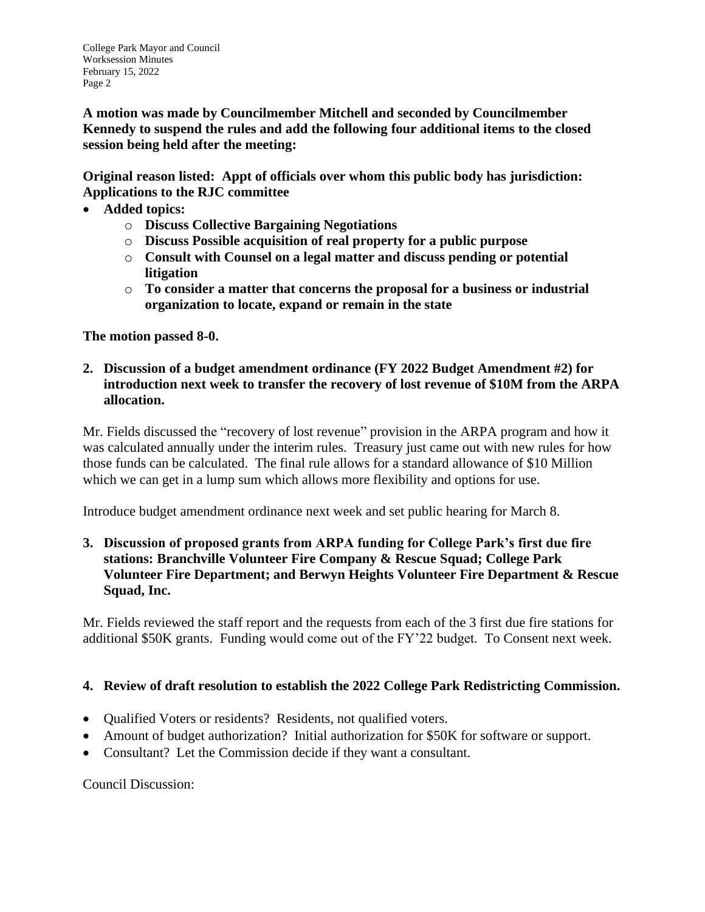**A motion was made by Councilmember Mitchell and seconded by Councilmember Kennedy to suspend the rules and add the following four additional items to the closed session being held after the meeting:** 

**Original reason listed: Appt of officials over whom this public body has jurisdiction: Applications to the RJC committee**

- **Added topics:**
	- o **Discuss Collective Bargaining Negotiations**
	- o **Discuss Possible acquisition of real property for a public purpose**
	- o **Consult with Counsel on a legal matter and discuss pending or potential litigation**
	- o **To consider a matter that concerns the proposal for a business or industrial organization to locate, expand or remain in the state**

# **The motion passed 8-0.**

**2. Discussion of a budget amendment ordinance (FY 2022 Budget Amendment #2) for introduction next week to transfer the recovery of lost revenue of \$10M from the ARPA allocation.**

Mr. Fields discussed the "recovery of lost revenue" provision in the ARPA program and how it was calculated annually under the interim rules. Treasury just came out with new rules for how those funds can be calculated. The final rule allows for a standard allowance of \$10 Million which we can get in a lump sum which allows more flexibility and options for use.

Introduce budget amendment ordinance next week and set public hearing for March 8.

**3. Discussion of proposed grants from ARPA funding for College Park's first due fire stations: Branchville Volunteer Fire Company & Rescue Squad; College Park Volunteer Fire Department; and Berwyn Heights Volunteer Fire Department & Rescue Squad, Inc.**

Mr. Fields reviewed the staff report and the requests from each of the 3 first due fire stations for additional \$50K grants. Funding would come out of the FY'22 budget. To Consent next week.

# **4. Review of draft resolution to establish the 2022 College Park Redistricting Commission.**

- Qualified Voters or residents? Residents, not qualified voters.
- Amount of budget authorization? Initial authorization for \$50K for software or support.
- Consultant? Let the Commission decide if they want a consultant.

Council Discussion: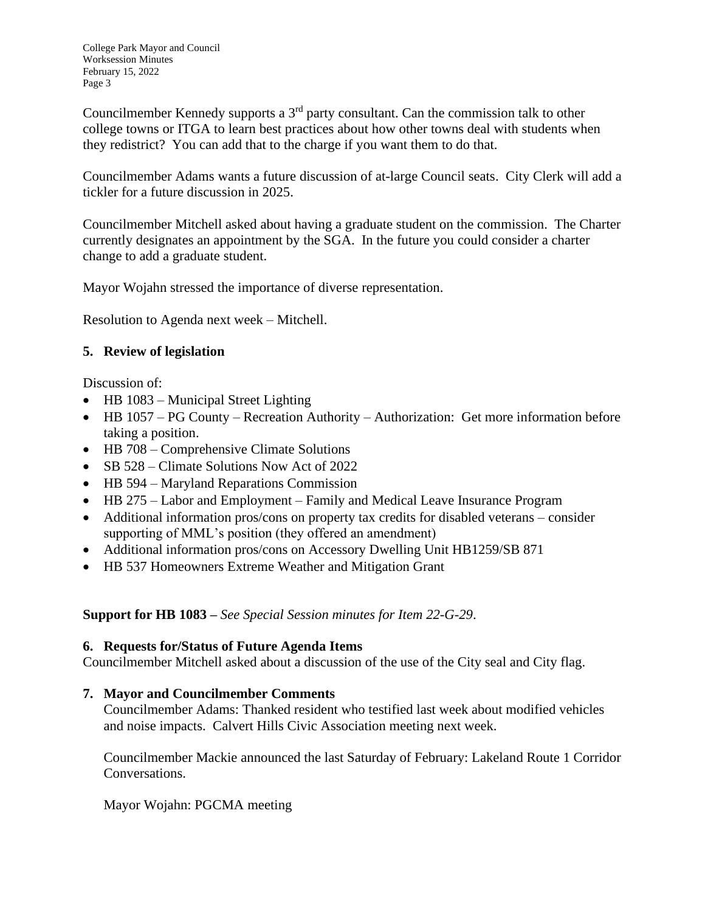Councilmember Kennedy supports a 3rd party consultant. Can the commission talk to other college towns or ITGA to learn best practices about how other towns deal with students when they redistrict? You can add that to the charge if you want them to do that.

Councilmember Adams wants a future discussion of at-large Council seats. City Clerk will add a tickler for a future discussion in 2025.

Councilmember Mitchell asked about having a graduate student on the commission. The Charter currently designates an appointment by the SGA. In the future you could consider a charter change to add a graduate student.

Mayor Wojahn stressed the importance of diverse representation.

Resolution to Agenda next week – Mitchell.

# **5. Review of legislation**

Discussion of:

- HB 1083 Municipal Street Lighting
- HB 1057 PG County Recreation Authority Authorization: Get more information before taking a position.
- HB 708 Comprehensive Climate Solutions
- SB 528 Climate Solutions Now Act of 2022
- HB 594 Maryland Reparations Commission
- HB 275 Labor and Employment Family and Medical Leave Insurance Program
- Additional information pros/cons on property tax credits for disabled veterans consider supporting of MML's position (they offered an amendment)
- Additional information pros/cons on Accessory Dwelling Unit HB1259/SB 871
- HB 537 Homeowners Extreme Weather and Mitigation Grant

**Support for HB 1083 –** *See Special Session minutes for Item 22-G-29*.

# **6. Requests for/Status of Future Agenda Items**

Councilmember Mitchell asked about a discussion of the use of the City seal and City flag.

# **7. Mayor and Councilmember Comments**

Councilmember Adams: Thanked resident who testified last week about modified vehicles and noise impacts. Calvert Hills Civic Association meeting next week.

Councilmember Mackie announced the last Saturday of February: Lakeland Route 1 Corridor Conversations.

Mayor Wojahn: PGCMA meeting